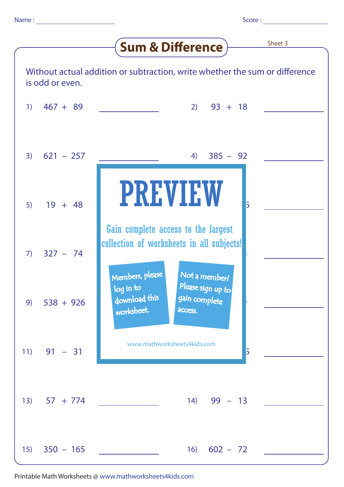|                                                                                                |                | Sheet 3<br><b>Sum &amp; Difference</b>                                                                               |
|------------------------------------------------------------------------------------------------|----------------|----------------------------------------------------------------------------------------------------------------------|
| Without actual addition or subtraction, write whether the sum or difference<br>is odd or even. |                |                                                                                                                      |
| $\left(1\right)$                                                                               | $467 + 89$     | $2)$ 93 + 18                                                                                                         |
| 3)                                                                                             | $621 - 257$    | $385 - 92$<br>4)                                                                                                     |
| 5)                                                                                             | $19 + 48$      | <b>PREVIEW</b><br>5                                                                                                  |
| 7)                                                                                             | $327 - 74$     | Gain complete access to the largest<br>collection of worksheets in all subjects!<br>Members, please<br>Not a member? |
| 9)                                                                                             | $538 + 926$    | Please sign up to<br>log in to<br>download this<br>gain complete<br>worksheet.<br>access.                            |
| 11)                                                                                            | $91 - 31$      | www.mathworksheets4kids.com<br>5                                                                                     |
|                                                                                                | $13)$ 57 + 774 | $14)$ 99 - 13                                                                                                        |
| 15)                                                                                            | $350 - 165$    | $16) 602 - 72$                                                                                                       |

Printable Math Worksheets @ www.mathworksheets4kids.com